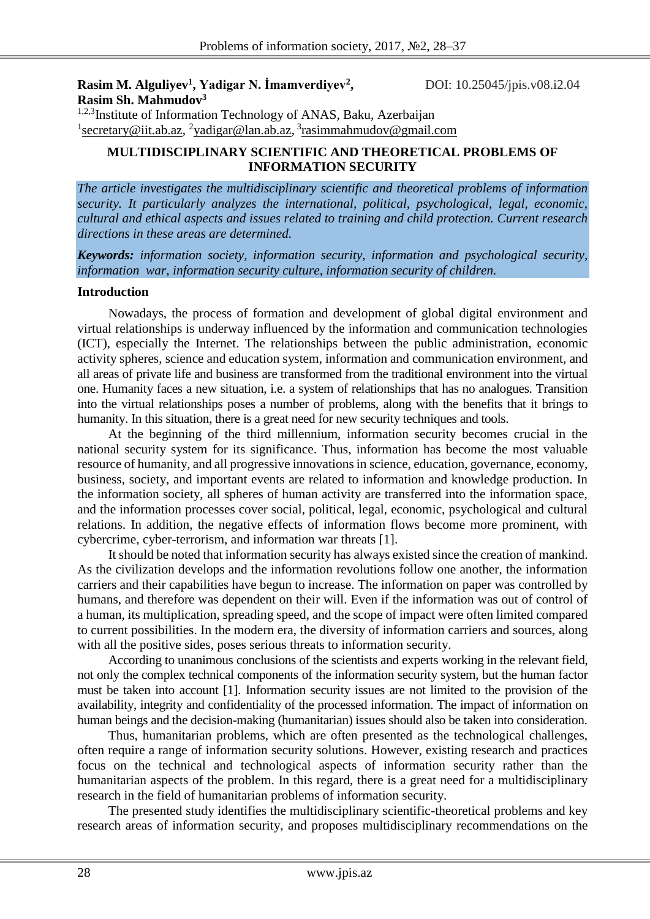# **Rasim M. Alguliyev<sup>1</sup> , Yadigar N. İmamverdiyev<sup>2</sup> Rasim Sh. Mahmudov<sup>3</sup>**

**,** DOI: 10.25045/jpis.v08.i2.04

<sup>1,2,3</sup>Institute of Information Technology of ANAS, Baku, Azerbaijan <sup>1</sup> secretary@iit.ab.az, <sup>2</sup> [yadigar@lan.ab.az,](file:///C:/Users/Rasim/Downloads/yadigar@lan.ab.az) <sup>3</sup> [rasimmahmudov@gmail.com](mailto:2rasimmahmudov@gmail.com)

## **MULTIDISCIPLINARY SCIENTIFIC AND THEORETICAL PROBLEMS OF INFORMATION SECURITY**

*The article investigates the multidisciplinary scientific and theoretical problems of information security. It particularly analyzes the international, political, psychological, legal, economic, cultural and ethical aspects and issues related to training and child protection. Current research directions in these areas are determined.*

*Keywords: information society, information security, information and psychological security, information war, information security culture, information security of children.*

#### **Introduction**

Nowadays, the process of formation and development of global digital environment and virtual relationships is underway influenced by the information and communication technologies (ICT), especially the Internet. The relationships between the public administration, economic activity spheres, science and education system, information and communication environment, and all areas of private life and business are transformed from the traditional environment into the virtual one. Humanity faces a new situation, i.e. a system of relationships that has no analogues. Transition into the virtual relationships poses a number of problems, along with the benefits that it brings to humanity. In this situation, there is a great need for new security techniques and tools.

At the beginning of the third millennium, information security becomes crucial in the national security system for its significance. Thus, information has become the most valuable resource of humanity, and all progressive innovations in science, education, governance, economy, business, society, and important events are related to information and knowledge production. In the information society, all spheres of human activity are transferred into the information space, and the information processes cover social, political, legal, economic, psychological and cultural relations. In addition, the negative effects of information flows become more prominent, with cybercrime, cyber-terrorism, and information war threats [1].

It should be noted that information security has always existed since the creation of mankind. As the civilization develops and the information revolutions follow one another, the information carriers and their capabilities have begun to increase. The information on paper was controlled by humans, and therefore was dependent on their will. Even if the information was out of control of a human, its multiplication, spreading speed, and the scope of impact were often limited compared to current possibilities. In the modern era, the diversity of information carriers and sources, along with all the positive sides, poses serious threats to information security.

According to unanimous conclusions of the scientists and experts working in the relevant field, not only the complex technical components of the information security system, but the human factor must be taken into account [1]. Information security issues are not limited to the provision of the availability, integrity and confidentiality of the processed information. The impact of information on human beings and the decision-making (humanitarian) issues should also be taken into consideration.

Thus, humanitarian problems, which are often presented as the technological challenges, often require a range of information security solutions. However, existing research and practices focus on the technical and technological aspects of information security rather than the humanitarian aspects of the problem. In this regard, there is a great need for a multidisciplinary research in the field of humanitarian problems of information security.

The presented study identifies the multidisciplinary scientific-theoretical problems and key research areas of information security, and proposes multidisciplinary recommendations on the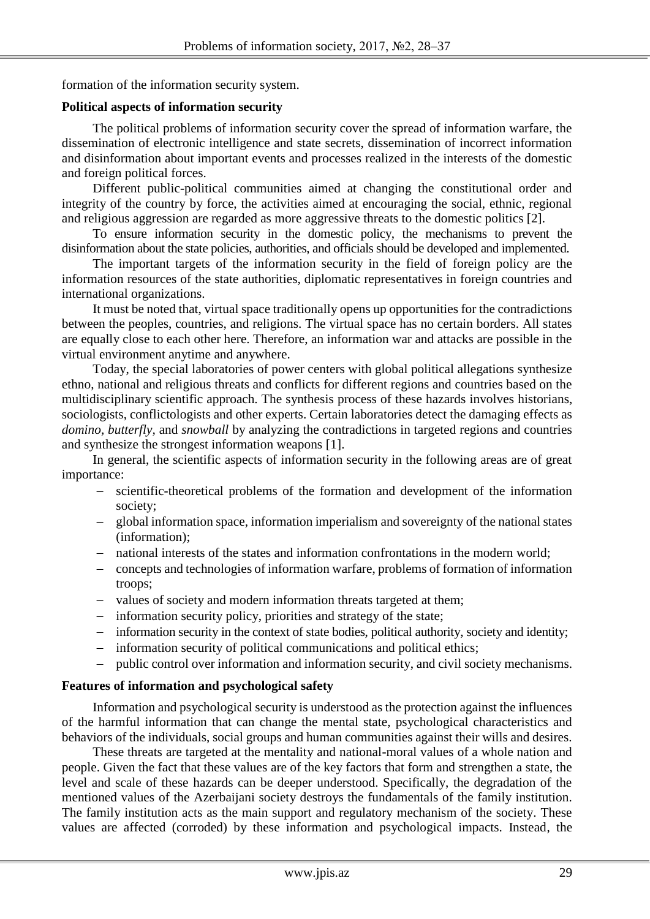formation of the information security system.

## **Political aspects of information security**

The political problems of information security cover the spread of information warfare, the dissemination of electronic intelligence and state secrets, dissemination of incorrect information and disinformation about important events and processes realized in the interests of the domestic and foreign political forces.

Different public-political communities aimed at changing the constitutional order and integrity of the country by force, the activities aimed at encouraging the social, ethnic, regional and religious aggression are regarded as more aggressive threats to the domestic politics [2].

To ensure information security in the domestic policy, the mechanisms to prevent the disinformation about the state policies, authorities, and officials should be developed and implemented.

The important targets of the information security in the field of foreign policy are the information resources of the state authorities, diplomatic representatives in foreign countries and international organizations.

It must be noted that, virtual space traditionally opens up opportunities for the contradictions between the peoples, countries, and religions. The virtual space has no certain borders. All states are equally close to each other here. Therefore, an information war and attacks are possible in the virtual environment anytime and anywhere.

Today, the special laboratories of power centers with global political allegations synthesize ethno, national and religious threats and conflicts for different regions and countries based on the multidisciplinary scientific approach. The synthesis process of these hazards involves historians, sociologists, conflictologists and other experts. Certain laboratories detect the damaging effects as *domino, butterfly,* and *snowball* by analyzing the contradictions in targeted regions and countries and synthesize the strongest information weapons [1].

In general, the scientific aspects of information security in the following areas are of great importance:

- scientific-theoretical problems of the formation and development of the information society;
- global information space, information imperialism and sovereignty of the national states (information);
- national interests of the states and information confrontations in the modern world;
- concepts and technologies of information warfare, problems of formation of information troops;
- values of society and modern information threats targeted at them;
- information security policy, priorities and strategy of the state;
- information security in the context of state bodies, political authority, society and identity;
- information security of political communications and political ethics;
- public control over information and information security, and civil society mechanisms.

## **Features of information and psychological safety**

Information and psychological security is understood as the protection against the influences of the harmful information that can change the mental state, psychological characteristics and behaviors of the individuals, social groups and human communities against their wills and desires.

These threats are targeted at the mentality and national-moral values of a whole nation and people. Given the fact that these values are of the key factors that form and strengthen a state, the level and scale of these hazards can be deeper understood. Specifically, the degradation of the mentioned values of the Azerbaijani society destroys the fundamentals of the family institution. The family institution acts as the main support and regulatory mechanism of the society. These values are affected (corroded) by these information and psychological impacts. Instead, the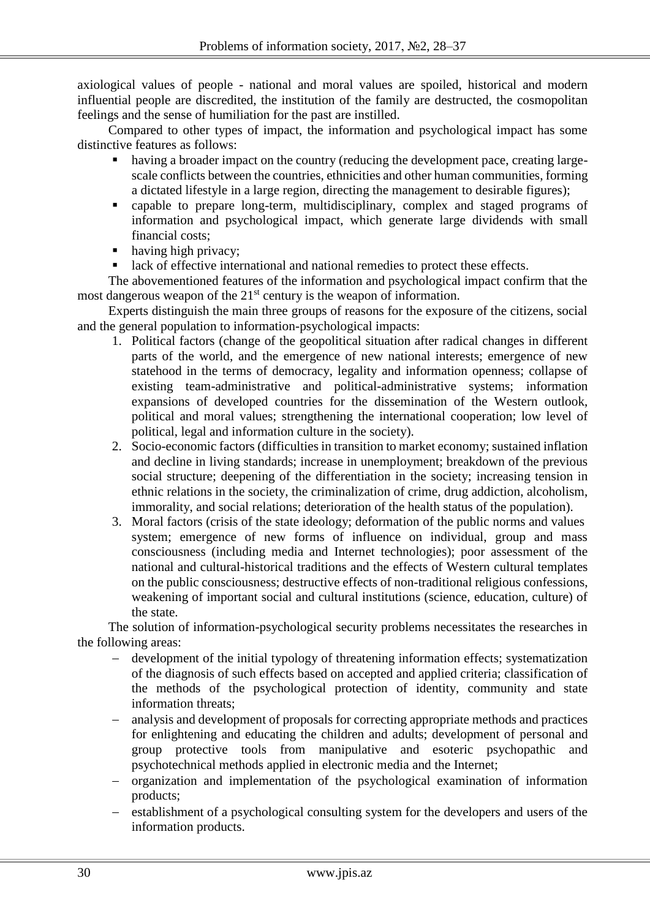axiological values of people - national and moral values are spoiled, historical and modern influential people are discredited, the institution of the family are destructed, the cosmopolitan feelings and the sense of humiliation for the past are instilled.

Compared to other types of impact, the information and psychological impact has some distinctive features as follows:

- having a broader impact on the country (reducing the development pace, creating largescale conflicts between the countries, ethnicities and other human communities, forming a dictated lifestyle in a large region, directing the management to desirable figures);
- capable to prepare long-term, multidisciplinary, complex and staged programs of information and psychological impact, which generate large dividends with small financial costs;
- having high privacy;
- lack of effective international and national remedies to protect these effects.

The abovementioned features of the information and psychological impact confirm that the most dangerous weapon of the  $21<sup>st</sup>$  century is the weapon of information.

Experts distinguish the main three groups of reasons for the exposure of the citizens, social and the general population to information-psychological impacts:

- 1. Political factors (change of the geopolitical situation after radical changes in different parts of the world, and the emergence of new national interests; emergence of new statehood in the terms of democracy, legality and information openness; collapse of existing team-administrative and political-administrative systems; information expansions of developed countries for the dissemination of the Western outlook, political and moral values; strengthening the international cooperation; low level of political, legal and information culture in the society).
- 2. Socio-economic factors (difficulties in transition to market economy; sustained inflation and decline in living standards; increase in unemployment; breakdown of the previous social structure; deepening of the differentiation in the society; increasing tension in ethnic relations in the society, the criminalization of crime, drug addiction, alcoholism, immorality, and social relations; deterioration of the health status of the population).
- 3. Moral factors (crisis of the state ideology; deformation of the public norms and values system; emergence of new forms of influence on individual, group and mass consciousness (including media and Internet technologies); poor assessment of the national and cultural-historical traditions and the effects of Western cultural templates on the public consciousness; destructive effects of non-traditional religious confessions, weakening of important social and cultural institutions (science, education, culture) of the state.

The solution of information-psychological security problems necessitates the researches in the following areas:

- development of the initial typology of threatening information effects; systematization of the diagnosis of such effects based on accepted and applied criteria; classification of the methods of the psychological protection of identity, community and state information threats;
- analysis and development of proposals for correcting appropriate methods and practices for enlightening and educating the children and adults; development of personal and group protective tools from manipulative and esoteric psychopathic and psychotechnical methods applied in electronic media and the Internet;
- organization and implementation of the psychological examination of information products;
- establishment of a psychological consulting system for the developers and users of the information products.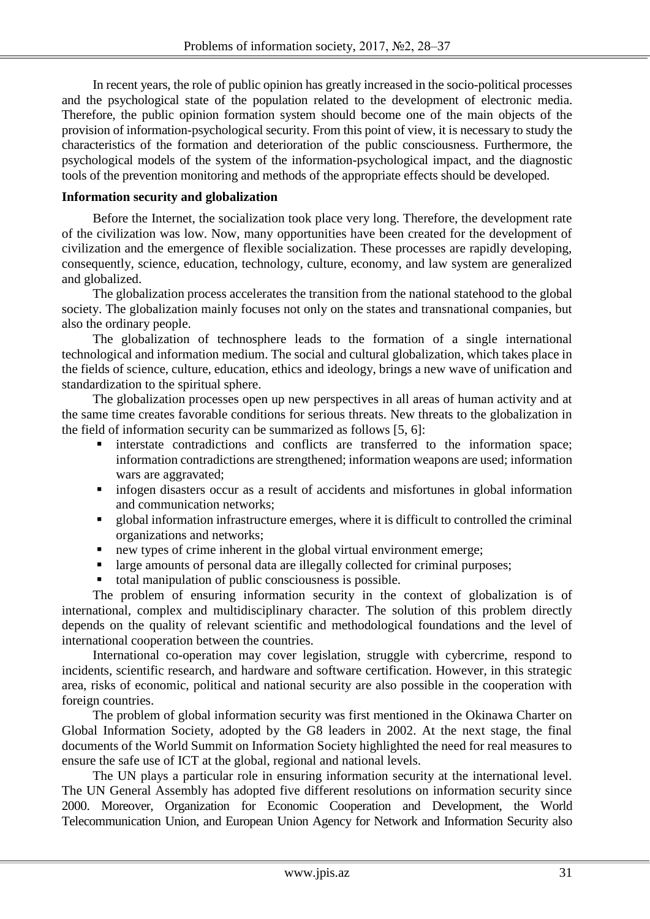In recent years, the role of public opinion has greatly increased in the socio-political processes and the psychological state of the population related to the development of electronic media. Therefore, the public opinion formation system should become one of the main objects of the provision of information-psychological security. From this point of view, it is necessary to study the characteristics of the formation and deterioration of the public consciousness. Furthermore, the psychological models of the system of the information-psychological impact, and the diagnostic tools of the prevention monitoring and methods of the appropriate effects should be developed.

## **Information security and globalization**

Before the Internet, the socialization took place very long. Therefore, the development rate of the civilization was low. Now, many opportunities have been created for the development of civilization and the emergence of flexible socialization. These processes are rapidly developing, consequently, science, education, technology, culture, economy, and law system are generalized and globalized.

The globalization process accelerates the transition from the national statehood to the global society. The globalization mainly focuses not only on the states and transnational companies, but also the ordinary people.

The globalization of technosphere leads to the formation of a single international technological and information medium. The social and cultural globalization, which takes place in the fields of science, culture, education, ethics and ideology, brings a new wave of unification and standardization to the spiritual sphere.

The globalization processes open up new perspectives in all areas of human activity and at the same time creates favorable conditions for serious threats. New threats to the globalization in the field of information security can be summarized as follows [5, 6]:

- interstate contradictions and conflicts are transferred to the information space; information contradictions are strengthened; information weapons are used; information wars are aggravated:
- **infogen disasters occur as a result of accidents and misfortunes in global information** and communication networks;
- global information infrastructure emerges, where it is difficult to controlled the criminal organizations and networks;
- new types of crime inherent in the global virtual environment emerge;
- **large amounts of personal data are illegally collected for criminal purposes;**
- total manipulation of public consciousness is possible.

The problem of ensuring information security in the context of globalization is of international, complex and multidisciplinary character. The solution of this problem directly depends on the quality of relevant scientific and methodological foundations and the level of international cooperation between the countries.

International co-operation may cover legislation, struggle with cybercrime, respond to incidents, scientific research, and hardware and software certification. However, in this strategic area, risks of economic, political and national security are also possible in the cooperation with foreign countries.

The problem of global information security was first mentioned in the Okinawa Charter on Global Information Society, adopted by the G8 leaders in 2002. At the next stage, the final documents of the World Summit on Information Society highlighted the need for real measures to ensure the safe use of ICT at the global, regional and national levels.

The UN plays a particular role in ensuring information security at the international level. The UN General Assembly has adopted five different resolutions on information security since 2000. Moreover, Organization for Economic Cooperation and Development, the World Telecommunication Union, and European Union Agency for Network and Information Security also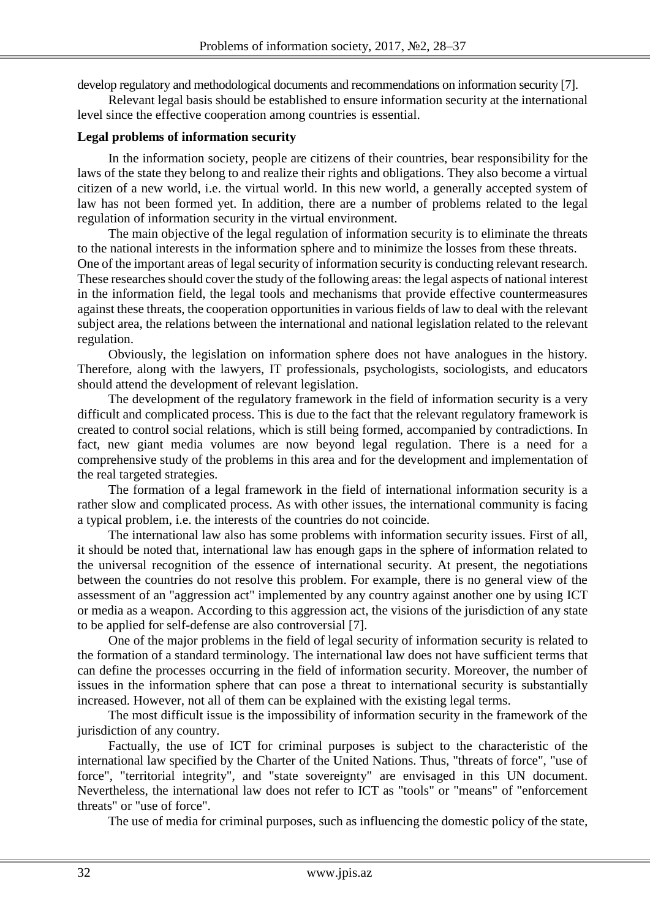develop regulatory and methodological documents and recommendations on information security [7].

Relevant legal basis should be established to ensure information security at the international level since the effective cooperation among countries is essential.

## **Legal problems of information security**

In the information society, people are citizens of their countries, bear responsibility for the laws of the state they belong to and realize their rights and obligations. They also become a virtual citizen of a new world, i.e. the virtual world. In this new world, a generally accepted system of law has not been formed yet. In addition, there are a number of problems related to the legal regulation of information security in the virtual environment.

The main objective of the legal regulation of information security is to eliminate the threats to the national interests in the information sphere and to minimize the losses from these threats.

One of the important areas of legal security of information security is conducting relevant research. These researches should cover the study of the following areas: the legal aspects of national interest in the information field, the legal tools and mechanisms that provide effective countermeasures against these threats, the cooperation opportunities in various fields of law to deal with the relevant subject area, the relations between the international and national legislation related to the relevant regulation.

Obviously, the legislation on information sphere does not have analogues in the history. Therefore, along with the lawyers, IT professionals, psychologists, sociologists, and educators should attend the development of relevant legislation.

The development of the regulatory framework in the field of information security is a very difficult and complicated process. This is due to the fact that the relevant regulatory framework is created to control social relations, which is still being formed, accompanied by contradictions. In fact, new giant media volumes are now beyond legal regulation. There is a need for a comprehensive study of the problems in this area and for the development and implementation of the real targeted strategies.

The formation of a legal framework in the field of international information security is a rather slow and complicated process. As with other issues, the international community is facing a typical problem, i.e. the interests of the countries do not coincide.

The international law also has some problems with information security issues. First of all, it should be noted that, international law has enough gaps in the sphere of information related to the universal recognition of the essence of international security. At present, the negotiations between the countries do not resolve this problem. For example, there is no general view of the assessment of an "aggression act" implemented by any country against another one by using ICT or media as a weapon. According to this aggression act, the visions of the jurisdiction of any state to be applied for self-defense are also controversial [7].

One of the major problems in the field of legal security of information security is related to the formation of a standard terminology. The international law does not have sufficient terms that can define the processes occurring in the field of information security. Moreover, the number of issues in the information sphere that can pose a threat to international security is substantially increased. However, not all of them can be explained with the existing legal terms.

The most difficult issue is the impossibility of information security in the framework of the jurisdiction of any country.

Factually, the use of ICT for criminal purposes is subject to the characteristic of the international law specified by the Charter of the United Nations. Thus, "threats of force", "use of force", "territorial integrity", and "state sovereignty" are envisaged in this UN document. Nevertheless, the international law does not refer to ICT as "tools" or "means" of "enforcement threats" or "use of force".

The use of media for criminal purposes, such as influencing the domestic policy of the state,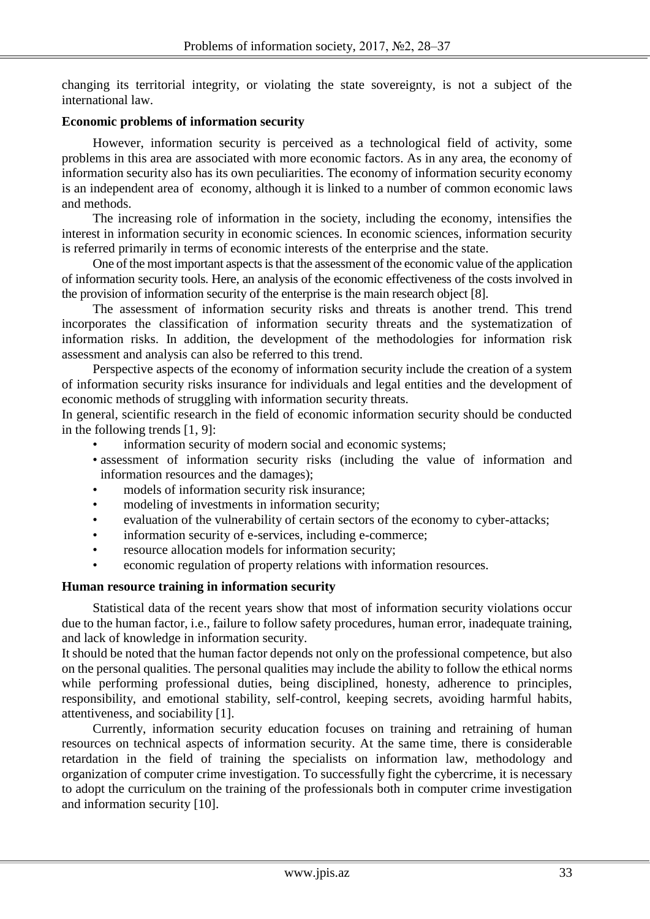changing its territorial integrity, or violating the state sovereignty, is not a subject of the international law.

#### **Economic problems of information security**

However, information security is perceived as a technological field of activity, some problems in this area are associated with more economic factors. As in any area, the economy of information security also has its own peculiarities. The economy of information security economy is an independent area of economy, although it is linked to a number of common economic laws and methods.

The increasing role of information in the society, including the economy, intensifies the interest in information security in economic sciences. In economic sciences, information security is referred primarily in terms of economic interests of the enterprise and the state.

One of the most important aspects is that the assessment of the economic value of the application of information security tools. Here, an analysis of the economic effectiveness of the costs involved in the provision of information security of the enterprise is the main research object [8].

The assessment of information security risks and threats is another trend. This trend incorporates the classification of information security threats and the systematization of information risks. In addition, the development of the methodologies for information risk assessment and analysis can also be referred to this trend.

Perspective aspects of the economy of information security include the creation of a system of information security risks insurance for individuals and legal entities and the development of economic methods of struggling with information security threats.

In general, scientific research in the field of economic information security should be conducted in the following trends [1, 9]:

- information security of modern social and economic systems;
- assessment of information security risks (including the value of information and information resources and the damages);
- models of information security risk insurance;
- modeling of investments in information security;
- evaluation of the vulnerability of certain sectors of the economy to cyber-attacks;
- information security of e-services, including e-commerce;
- resource allocation models for information security;
- economic regulation of property relations with information resources.

#### **Human resource training in information security**

Statistical data of the recent years show that most of information security violations occur due to the human factor, i.e., failure to follow safety procedures, human error, inadequate training, and lack of knowledge in information security.

It should be noted that the human factor depends not only on the professional competence, but also on the personal qualities. The personal qualities may include the ability to follow the ethical norms while performing professional duties, being disciplined, honesty, adherence to principles, responsibility, and emotional stability, self-control, keeping secrets, avoiding harmful habits, attentiveness, and sociability [1].

Currently, information security education focuses on training and retraining of human resources on technical aspects of information security. At the same time, there is considerable retardation in the field of training the specialists on information law, methodology and organization of computer crime investigation. To successfully fight the cybercrime, it is necessary to adopt the curriculum on the training of the professionals both in computer crime investigation and information security [10].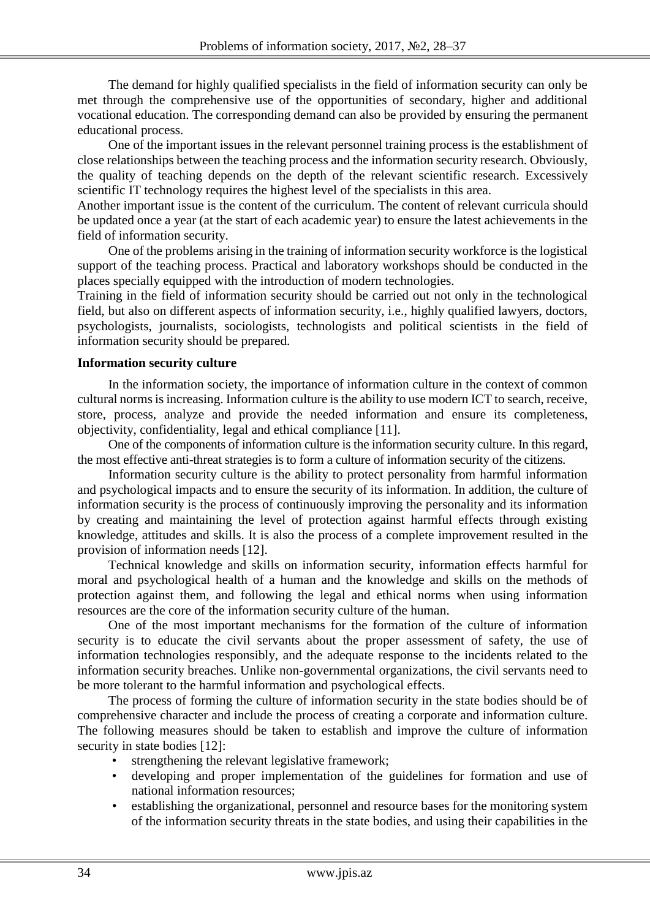The demand for highly qualified specialists in the field of information security can only be met through the comprehensive use of the opportunities of secondary, higher and additional vocational education. The corresponding demand can also be provided by ensuring the permanent educational process.

One of the important issues in the relevant personnel training process is the establishment of close relationships between the teaching process and the information security research. Obviously, the quality of teaching depends on the depth of the relevant scientific research. Excessively scientific IT technology requires the highest level of the specialists in this area.

Another important issue is the content of the curriculum. The content of relevant curricula should be updated once a year (at the start of each academic year) to ensure the latest achievements in the field of information security.

One of the problems arising in the training of information security workforce is the logistical support of the teaching process. Practical and laboratory workshops should be conducted in the places specially equipped with the introduction of modern technologies.

Training in the field of information security should be carried out not only in the technological field, but also on different aspects of information security, i.e., highly qualified lawyers, doctors, psychologists, journalists, sociologists, technologists and political scientists in the field of information security should be prepared.

## **Information security culture**

In the information society, the importance of information culture in the context of common cultural norms is increasing. Information culture is the ability to use modern ICT to search, receive, store, process, analyze and provide the needed information and ensure its completeness, objectivity, confidentiality, legal and ethical compliance [11].

One of the components of information culture is the information security culture. In this regard, the most effective anti-threat strategies is to form a culture of information security of the citizens.

Information security culture is the ability to protect personality from harmful information and psychological impacts and to ensure the security of its information. In addition, the culture of information security is the process of continuously improving the personality and its information by creating and maintaining the level of protection against harmful effects through existing knowledge, attitudes and skills. It is also the process of a complete improvement resulted in the provision of information needs [12].

Technical knowledge and skills on information security, information effects harmful for moral and psychological health of a human and the knowledge and skills on the methods of protection against them, and following the legal and ethical norms when using information resources are the core of the information security culture of the human.

One of the most important mechanisms for the formation of the culture of information security is to educate the civil servants about the proper assessment of safety, the use of information technologies responsibly, and the adequate response to the incidents related to the information security breaches. Unlike non-governmental organizations, the civil servants need to be more tolerant to the harmful information and psychological effects.

The process of forming the culture of information security in the state bodies should be of comprehensive character and include the process of creating a corporate and information culture. The following measures should be taken to establish and improve the culture of information security in state bodies [12]:

- strengthening the relevant legislative framework;
- developing and proper implementation of the guidelines for formation and use of national information resources;
- establishing the organizational, personnel and resource bases for the monitoring system of the information security threats in the state bodies, and using their capabilities in the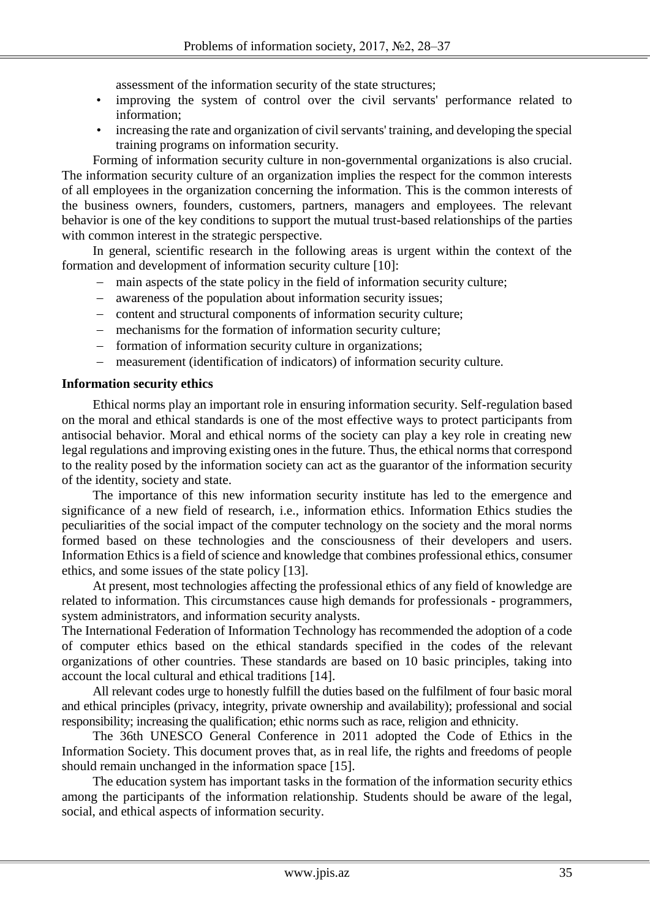assessment of the information security of the state structures;

- improving the system of control over the civil servants' performance related to information;
- increasing the rate and organization of civil servants' training, and developing the special training programs on information security.

Forming of information security culture in non-governmental organizations is also crucial. The information security culture of an organization implies the respect for the common interests of all employees in the organization concerning the information. This is the common interests of the business owners, founders, customers, partners, managers and employees. The relevant behavior is one of the key conditions to support the mutual trust-based relationships of the parties with common interest in the strategic perspective.

In general, scientific research in the following areas is urgent within the context of the formation and development of information security culture [10]:

- main aspects of the state policy in the field of information security culture;
- awareness of the population about information security issues;
- content and structural components of information security culture;
- mechanisms for the formation of information security culture;
- formation of information security culture in organizations;
- measurement (identification of indicators) of information security culture.

#### **Information security ethics**

Ethical norms play an important role in ensuring information security. Self-regulation based on the moral and ethical standards is one of the most effective ways to protect participants from antisocial behavior. Moral and ethical norms of the society can play a key role in creating new legal regulations and improving existing ones in the future. Thus, the ethical norms that correspond to the reality posed by the information society can act as the guarantor of the information security of the identity, society and state.

The importance of this new information security institute has led to the emergence and significance of a new field of research, i.e., information ethics. Information Ethics studies the peculiarities of the social impact of the computer technology on the society and the moral norms formed based on these technologies and the consciousness of their developers and users. Information Ethics is a field of science and knowledge that combines professional ethics, consumer ethics, and some issues of the state policy [13].

At present, most technologies affecting the professional ethics of any field of knowledge are related to information. This circumstances cause high demands for professionals - programmers, system administrators, and information security analysts.

The International Federation of Information Technology has recommended the adoption of a code of computer ethics based on the ethical standards specified in the codes of the relevant organizations of other countries. These standards are based on 10 basic principles, taking into account the local cultural and ethical traditions [14].

All relevant codes urge to honestly fulfill the duties based on the fulfilment of four basic moral and ethical principles (privacy, integrity, private ownership and availability); professional and social responsibility; increasing the qualification; ethic norms such as race, religion and ethnicity.

The 36th UNESCO General Conference in 2011 adopted the Code of Ethics in the Information Society. This document proves that, as in real life, the rights and freedoms of people should remain unchanged in the information space [15].

The education system has important tasks in the formation of the information security ethics among the participants of the information relationship. Students should be aware of the legal, social, and ethical aspects of information security.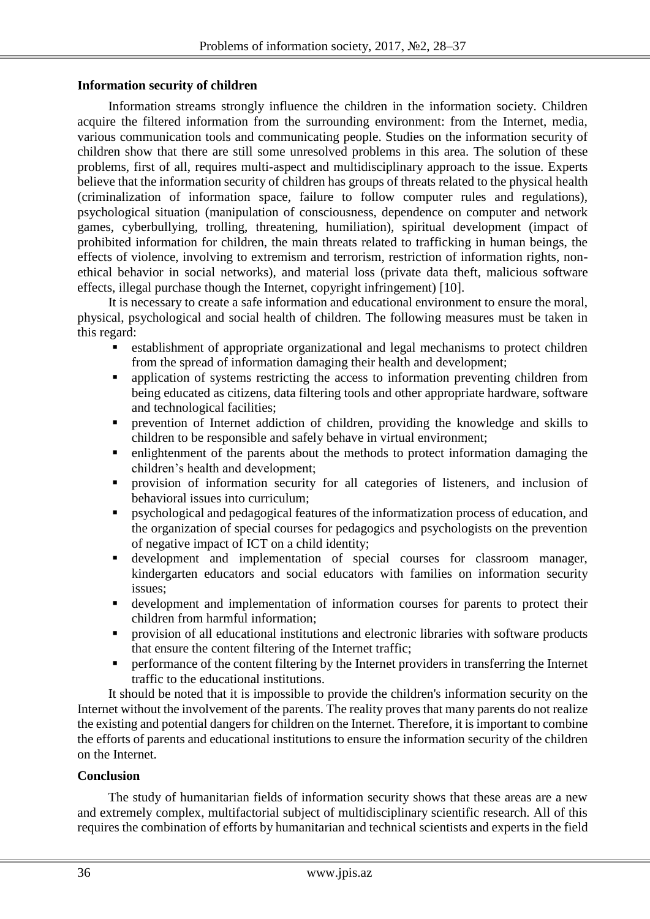## **Information security of children**

Information streams strongly influence the children in the information society. Children acquire the filtered information from the surrounding environment: from the Internet, media, various communication tools and communicating people. Studies on the information security of children show that there are still some unresolved problems in this area. The solution of these problems, first of all, requires multi-aspect and multidisciplinary approach to the issue. Experts believe that the information security of children has groups of threats related to the physical health (criminalization of information space, failure to follow computer rules and regulations), psychological situation (manipulation of consciousness, dependence on computer and network games, cyberbullying, trolling, threatening, humiliation), spiritual development (impact of prohibited information for children, the main threats related to trafficking in human beings, the effects of violence, involving to extremism and terrorism, restriction of information rights, nonethical behavior in social networks), and material loss (private data theft, malicious software effects, illegal purchase though the Internet, copyright infringement) [10].

It is necessary to create a safe information and educational environment to ensure the moral, physical, psychological and social health of children. The following measures must be taken in this regard:

- establishment of appropriate organizational and legal mechanisms to protect children from the spread of information damaging their health and development;
- application of systems restricting the access to information preventing children from being educated as citizens, data filtering tools and other appropriate hardware, software and technological facilities;
- prevention of Internet addiction of children, providing the knowledge and skills to children to be responsible and safely behave in virtual environment;
- enlightenment of the parents about the methods to protect information damaging the children's health and development;
- provision of information security for all categories of listeners, and inclusion of behavioral issues into curriculum;
- psychological and pedagogical features of the informatization process of education, and the organization of special courses for pedagogics and psychologists on the prevention of negative impact of ICT on a child identity;
- development and implementation of special courses for classroom manager, kindergarten educators and social educators with families on information security issues;
- development and implementation of information courses for parents to protect their children from harmful information;
- provision of all educational institutions and electronic libraries with software products that ensure the content filtering of the Internet traffic;
- performance of the content filtering by the Internet providers in transferring the Internet traffic to the educational institutions.

It should be noted that it is impossible to provide the children's information security on the Internet without the involvement of the parents. The reality proves that many parents do not realize the existing and potential dangers for children on the Internet. Therefore, it is important to combine the efforts of parents and educational institutions to ensure the information security of the children on the Internet.

## **Conclusion**

The study of humanitarian fields of information security shows that these areas are a new and extremely complex, multifactorial subject of multidisciplinary scientific research. All of this requires the combination of efforts by humanitarian and technical scientists and experts in the field